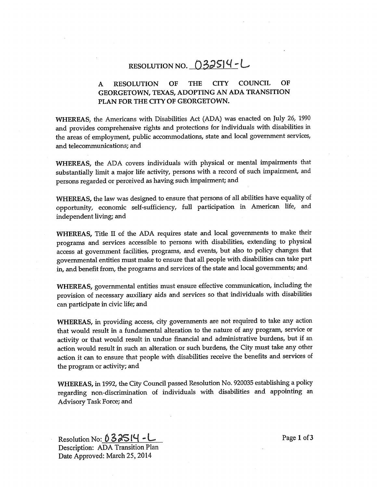# RESOLUTION NO. 032514-L

# A RESOLUTION OF THE CITY COUNCIL OF GEORGETOWN, TEXAS, ADOPTING AN ADA TRANSITION PLAN FOR THE CITY OF GEORGETOWN,

WHEREAS, the Americans with Disabilities Act (ADA) was enacted on July 26, 1990 and provides comprehensive rights and protections for individuals with disabilities in the areas of employment, public accommodations, state and local government services, and telecommunications; and

WHEREAS, the ADA covers individuals with physical or mental impairments that substantially limit a major life activity, persons with a record of such impairment, and persons regarded or perceived as having such impairment; and

WHEREAS, the law was designed to ensure that persons of all abilities have equality of opportunity, economic self-sufficiency, full participation in American life, and independent living; and

WHEREAS, Title II of the ADA requires state and local governments to make their programs and services accessible to persons with disabilities, extending to physical access at government facilities, programs, and events, but also to policy changes that governmental entities must make to ensure that all people with disabilities can take part in, and benefit from, the programs and services of the state and local governments; and

WHEREAS, governmental entities must ensure effective communication, including the provision of necessary auxiliary aids and services so that individuals with disabilities can participate in civic life; and

WHEREAS, in providing access, city governments are not required to take any action that would result in a fundamental alteration to the nature of any program, service or activity or that would result in undue financial and administrative burdens, but if an action would result in such an alteration or such burdens, the City must take any other action it can to ensure that people with disabilities receive the benefits and services of the program or activity; and

WHEREAS, in 1992, the City Council passed Resolution No. 920035 establishing a policy regarding non-discrimination of individuals with disabilities and appointing an Advisory Task Force; and

Resolution No:  $0.33514 - L$  Page 1 of 3 Description: ADA Transition Plan Date Approved: March 25, 2014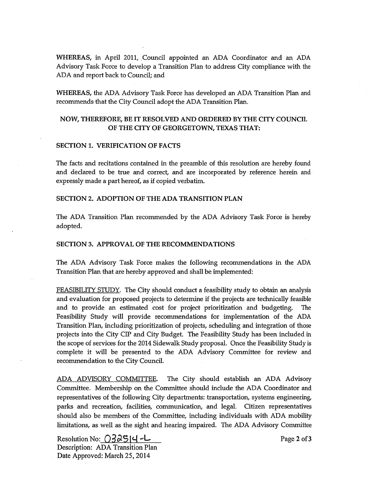WHEREAS, in April 2011, Council appointed an ADA Coordinator and an ADA Advisory Task Force to develop a Transition Plan to address City compliance with the ADA and report back to Council; and

WHEREAS, the ADA Advisory Task Force has developed an ADA Transition Plan and recommends that the City Council adopt the ADA Transition Plan.

## NOW, THEREFORE, BE IT RESOLVED AND ORDERED BY THE CITY COUNCIL OF THE CITY OF GEORGETOWN, TEXAS THAT:

## SECTION 1. VERIFICATION OF FACTS

The facts and recitations contained in the preamble of this resolution are hereby found and declared to be true and correct, and are incorporated by reference herein and expressly made <sup>a</sup> part hereof, as if copied verbatim.

#### SECTION 2. ADOPTION OF THE ADA TRANSITION PLAN

The ADA Transition Plan recommended by the ADA Advisory Task Force is hereby adopted.

### SECTION 3. APPROVAL OF THE RECOMMENDATIONS

The ADA Advisory Task Force makes the following recommendations in the ADA Transition Plan that are hereby approved and shall be implemented:

FEASIBILITY STUDY. The City should conduct a feasibility study to obtain an analysis and evaluation for proposed projects to determine if the projects are technically feasible and to provide an estimated cost for project prioritization and budgeting. The Feasibility Study will provide recommendations for implementation of the ADA Transition Plan, including prioritization of projects, scheduling and integration of those projects into the City CIP and City Budget. The Feasibility Study has been included in the scope of services for the 2014 Sidewalk Study proposal. Once the Feasibility Study is complete it will be presented to the ADA Advisory Committee for review and recommendation to the City Council.

ADA ADVISORY COMMITTEE. The. City should establish an ADA Advisory Committee. Membership on the Committee should include the ADA Coordinator and representatives of the following City departments: transportation, systems engineering, parks and recreation, facilities, communication, and legal. Citizen representatives should also be members of the Committee, including individuals with ADA mobility limitations, as well as the sight and hearing impaired. The ADA Advisory Committee

Resolution No:  $\bigcirc$   $\frac{32514}{-}$ Description: ADA Transition Plan Date Approved: March 25, 2014